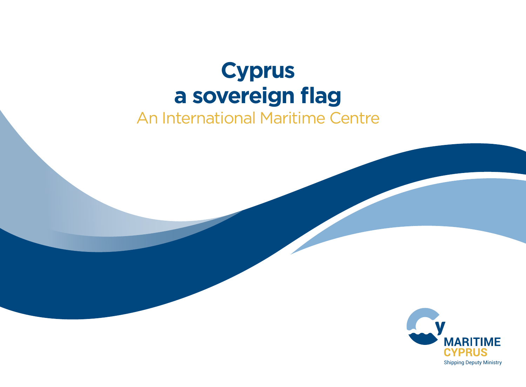# **Cyprus a sovereign flag**

# An International Maritime Centre

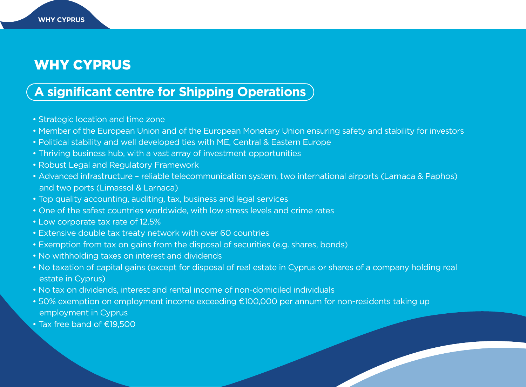# WHY CYPRUS

**WHY CYPRUS**

### **A significant centre for Shipping Operations**

- Strategic location and time zone
- Member of the European Union and of the European Monetary Union ensuring safety and stability for investors
- Political stability and well developed ties with ME, Central & Eastern Europe
- Thriving business hub, with a vast array of investment opportunities
- Robust Legal and Regulatory Framework
- Advanced infrastructure reliable telecommunication system, two international airports (Larnaca & Paphos) and two ports (Limassol & Larnaca)
- Top quality accounting, auditing, tax, business and legal services
- One of the safest countries worldwide, with low stress levels and crime rates
- Low corporate tax rate of 12.5%
- Extensive double tax treaty network with over 60 countries
- Exemption from tax on gains from the disposal of securities (e.g. shares, bonds)
- No withholding taxes on interest and dividends
- No taxation of capital gains (except for disposal of real estate in Cyprus or shares of a company holding real estate in Cyprus)
- No tax on dividends, interest and rental income of non-domiciled individuals
- 50% exemption on employment income exceeding €100,000 per annum for non-residents taking up employment in Cyprus
- Tax free band of €19,500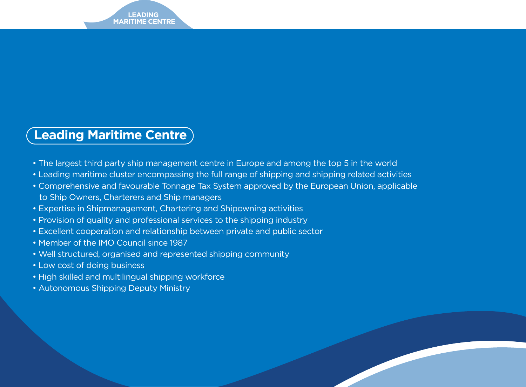### **Leading Maritime Centre**

- The largest third party ship management centre in Europe and among the top 5 in the world
- Leading maritime cluster encompassing the full range of shipping and shipping related activities
- Comprehensive and favourable Tonnage Tax System approved by the European Union, applicable to Ship Owners, Charterers and Ship managers
- Expertise in Shipmanagement, Chartering and Shipowning activities
- Provision of quality and professional services to the shipping industry
- Excellent cooperation and relationship between private and public sector
- Member of the IMO Council since 1987
- Well structured, organised and represented shipping community
- Low cost of doing business
- High skilled and multilingual shipping workforce
- Autonomous Shipping Deputy Ministry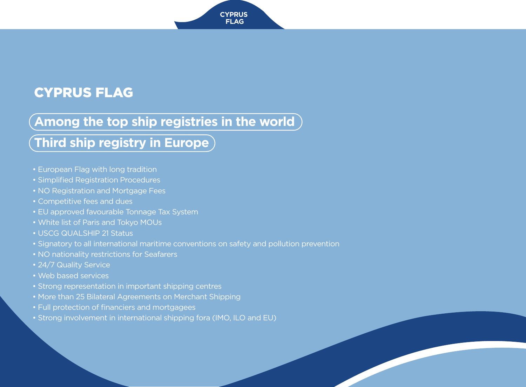# CYPRUS FLAG

### **Among the top ship registries in the world**

# **Third ship registry in Europe**

- European Flag with long tradition
- Simplified Registration Procedures
- NO Registration and Mortgage Fees
- Competitive fees and dues
- EU approved favourable Tonnage Tax System
- White list of Paris and Tokyo MOUs
- USCG QUALSHIP 21 Status
- Signatory to all international maritime conventions on safety and pollution prevention
- NO nationality restrictions for Seafarers
- 24/7 Quality Service
- Web based services
- Strong representation in important shipping centres
- More than 25 Bilateral Agreements on Merchant Shipping
- Full protection of financiers and mortgagees
- Strong involvement in international shipping fora (IMO, ILO and EU)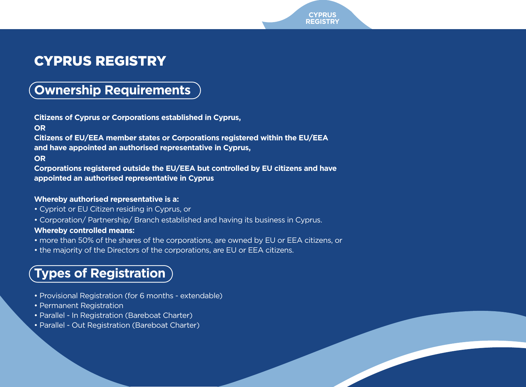# CYPRUS REGISTRY

### **Ownership Requirements**

**Citizens of Cyprus or Corporations established in Cyprus, OR Citizens of EU/EEA member states or Corporations registered within the EU/EEA and have appointed an authorised representative in Cyprus, OR Corporations registered outside the EU/EEA but controlled by EU citizens and have appointed an authorised representative in Cyprus**

#### **Whereby authorised representative is a:**

- Cypriot or EU Citizen residing in Cyprus, or
- Corporation/ Partnership/ Branch established and having its business in Cyprus.

#### **Whereby controlled means:**

- more than 50% of the shares of the corporations, are owned by EU or EEA citizens, or
- the majority of the Directors of the corporations, are EU or EEA citizens.

# **Types of Registration**

- Provisional Registration (for 6 months extendable)
- Permanent Registration
- Parallel In Registration (Bareboat Charter)
- Parallel Out Registration (Bareboat Charter)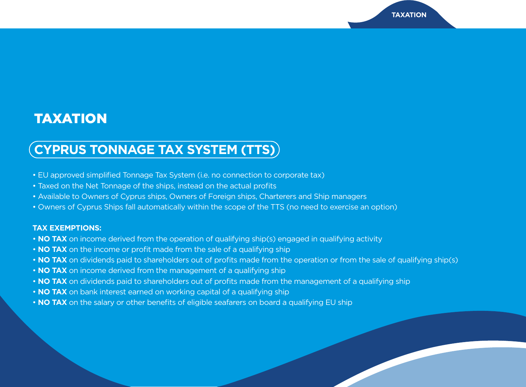# TAXATION

# **CYPRUS TONNAGE TAX SYSTEM (TTS)**

- EU approved simplified Tonnage Tax System (i.e. no connection to corporate tax)
- Taxed on the Net Tonnage of the ships, instead on the actual profits
- Available to Owners of Cyprus ships, Owners of Foreign ships, Charterers and Ship managers
- Owners of Cyprus Ships fall automatically within the scope of the TTS (no need to exercise an option)

#### **TAX EXEMPTIONS:**

- **NO TAX** on income derived from the operation of qualifying ship(s) engaged in qualifying activity
- **NO TAX** on the income or profit made from the sale of a qualifying ship
- **NO TAX** on dividends paid to shareholders out of profits made from the operation or from the sale of qualifying ship(s)
- **NO TAX** on income derived from the management of a qualifying ship
- **NO TAX** on dividends paid to shareholders out of profits made from the management of a qualifying ship
- **NO TAX** on bank interest earned on working capital of a qualifying ship
- **NO TAX** on the salary or other benefits of eligible seafarers on board a qualifying EU ship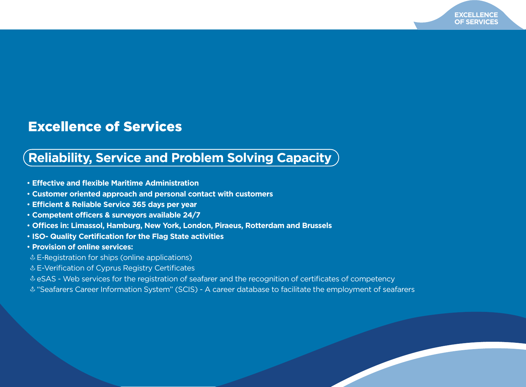### Excellence of Services

# **Reliability, Service and Problem Solving Capacity**

- **Effective and flexible Maritime Administration**
- **Customer oriented approach and personal contact with customers**
- **Ecient & Reliable Service 365 days per year**
- Competent officers & surveyors available 24/7
- **Oces in: Limassol, Hamburg, New York, London, Piraeus, Rotterdam and Brussels**
- **ISO- Quality Certification for the Flag State activities**
- **Provision of online services:**
- $E$ -Registration for ships (online applications)
- E-Verification of Cyprus Registry Certificates
- eSAS Web services for the registration of seafarer and the recognition of certificates of competency
- "Seafarers Career Information System" (SCIS) A career database to facilitate the employment of seafarers